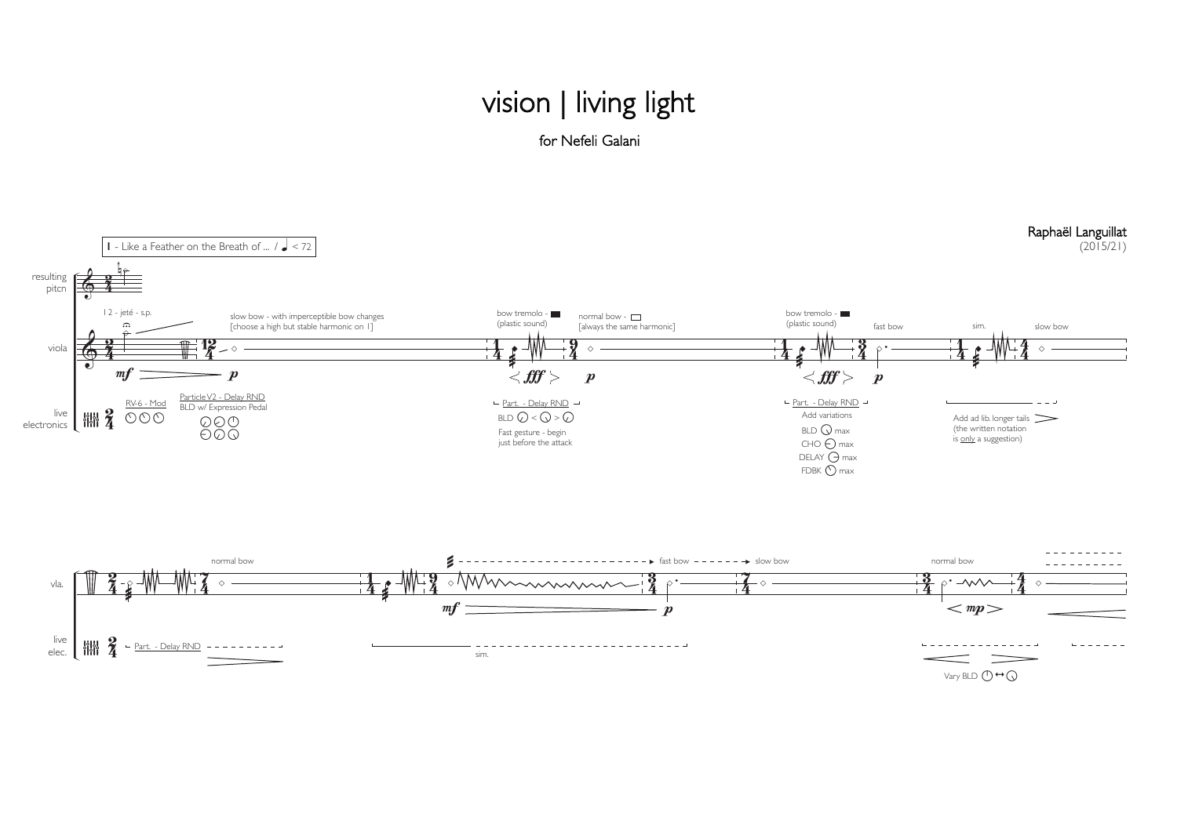## vision | living light for Nefeli Galani



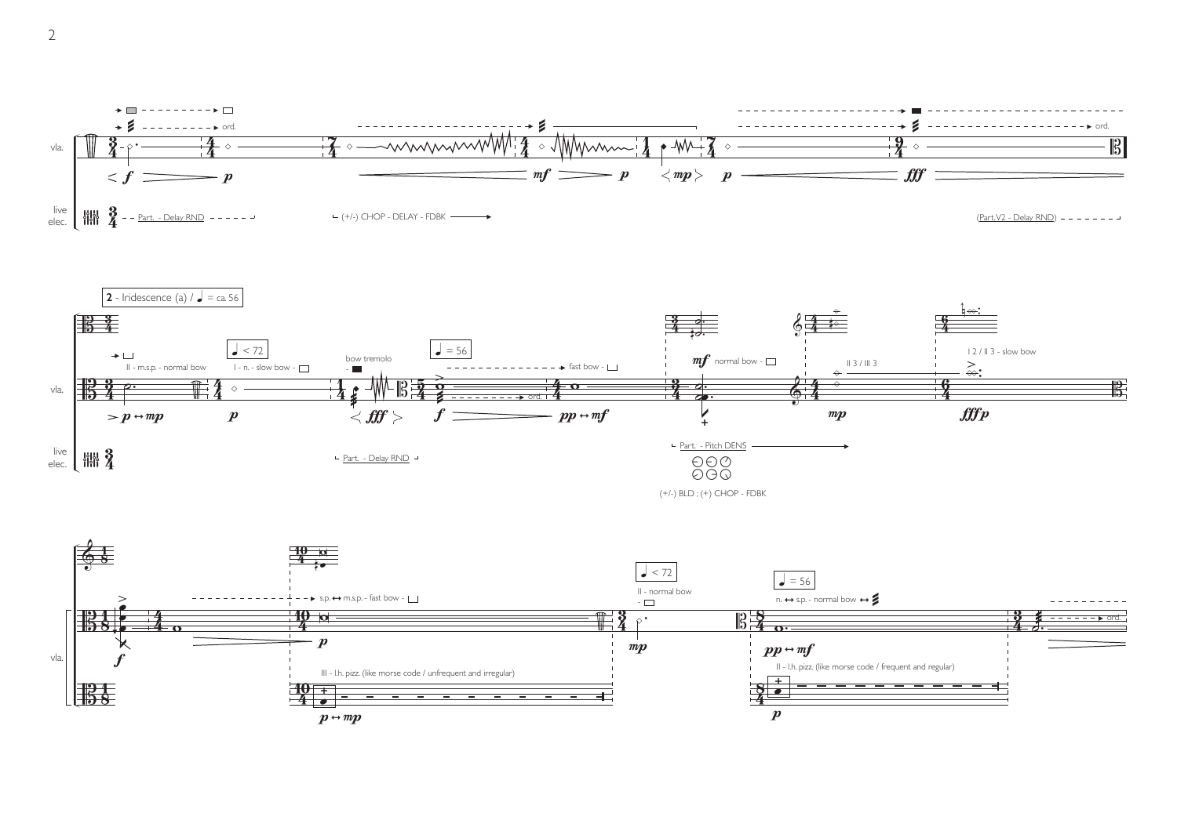







2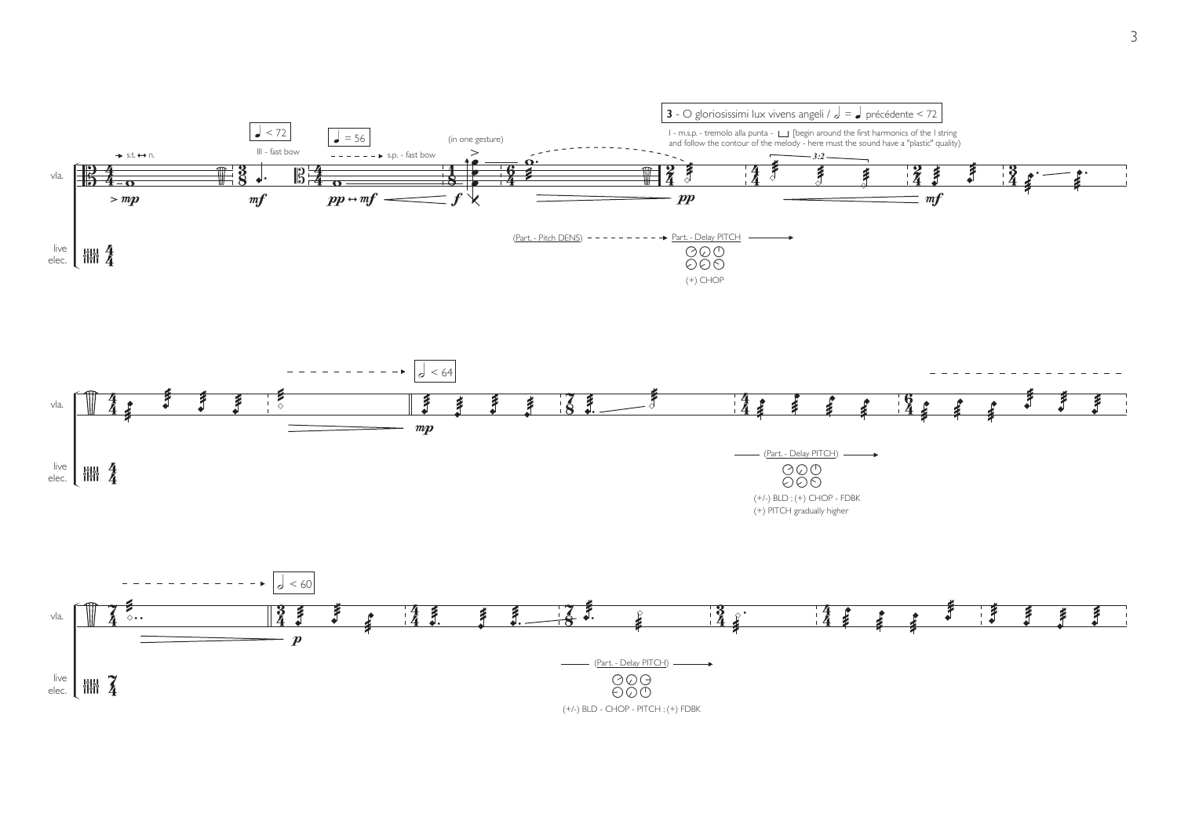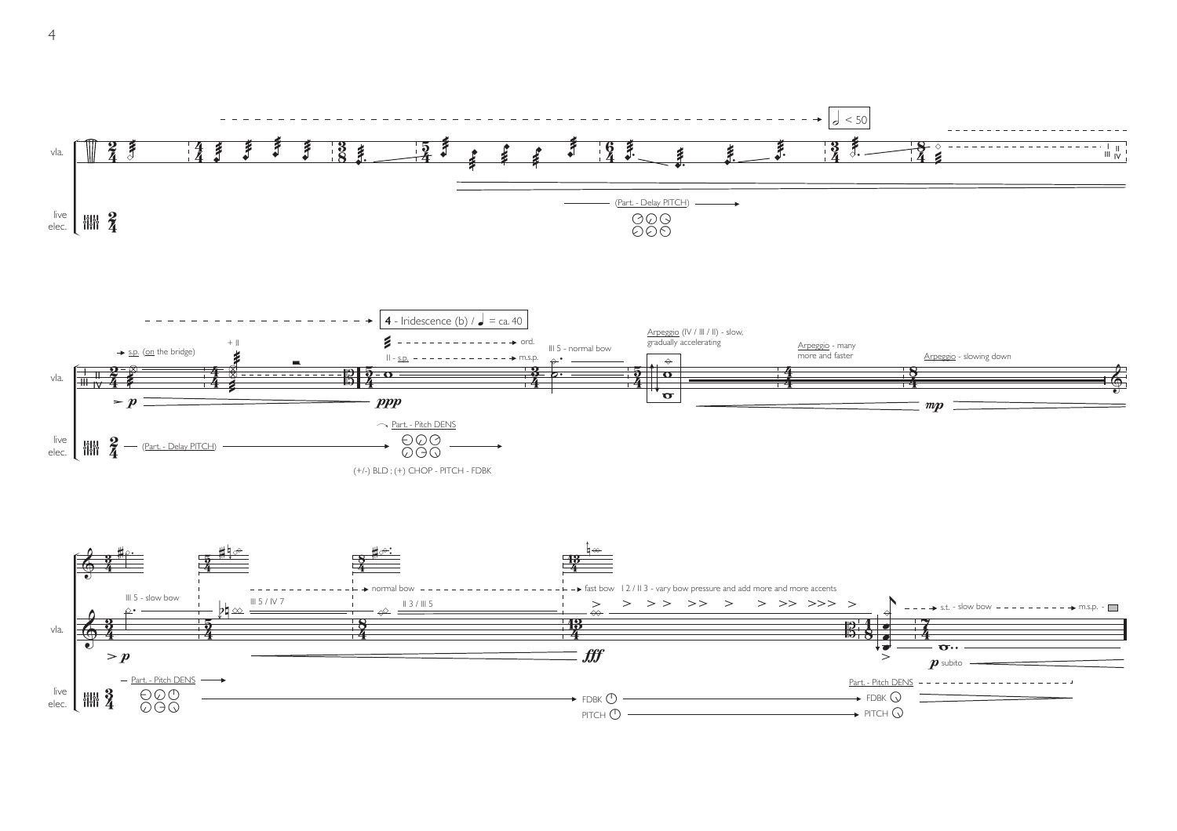

4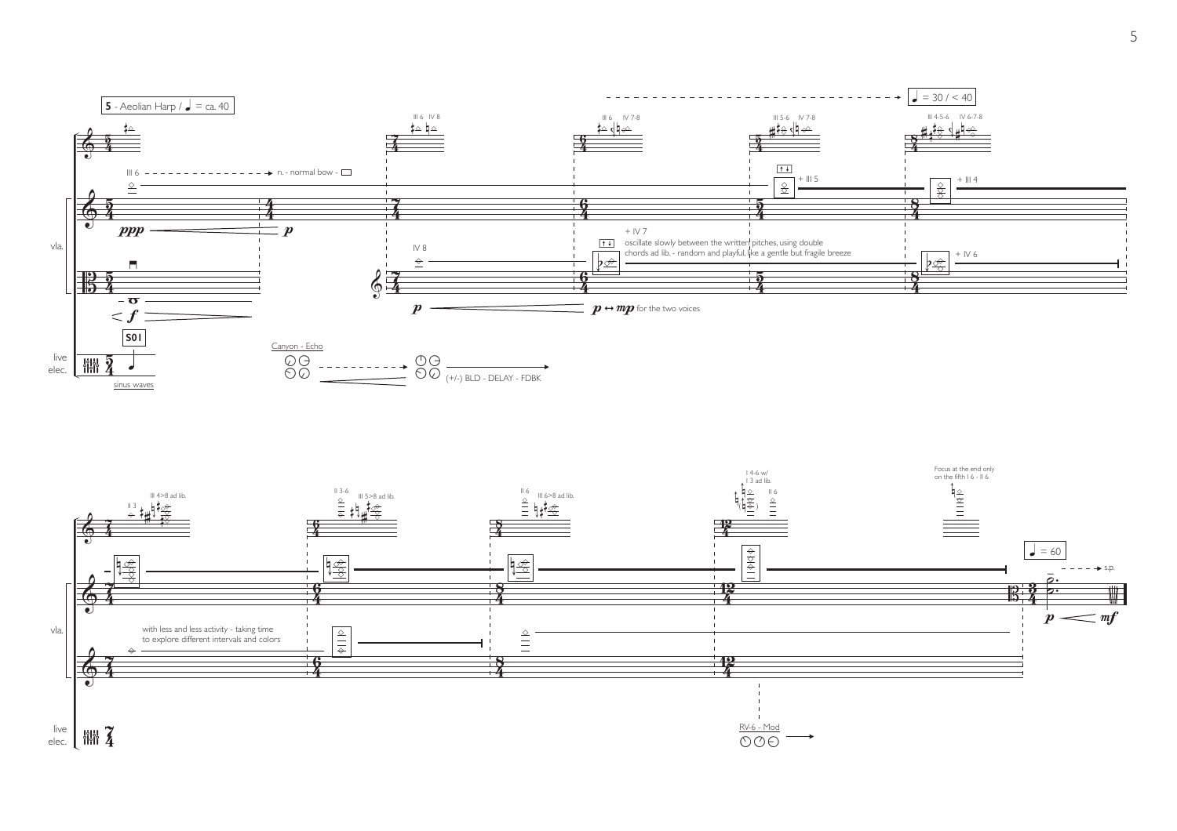

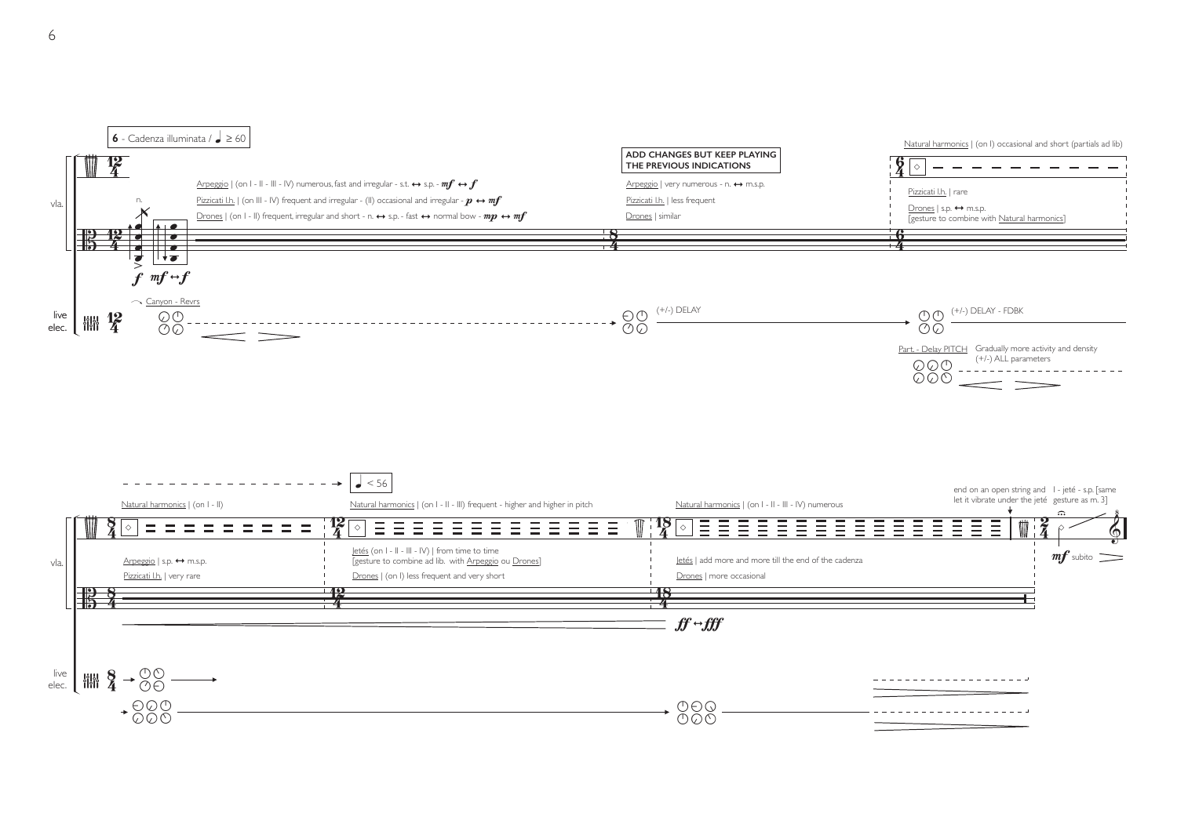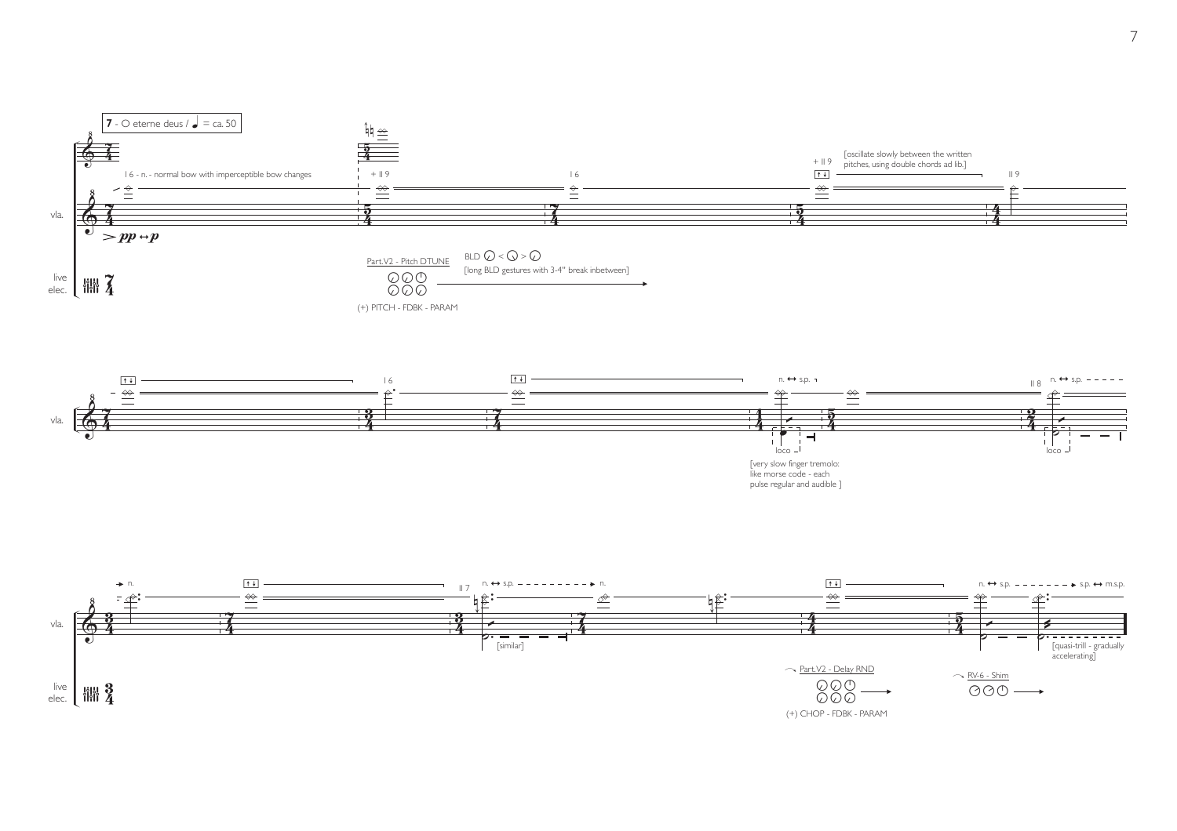



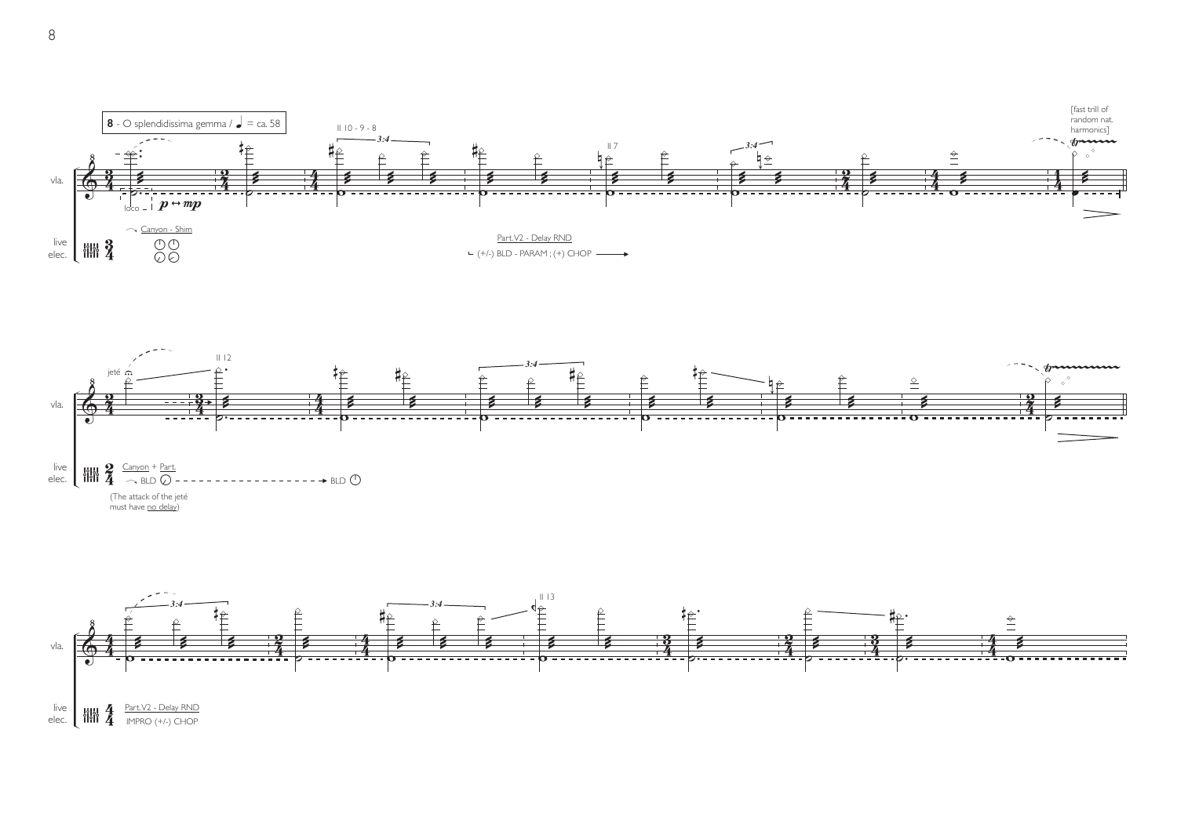



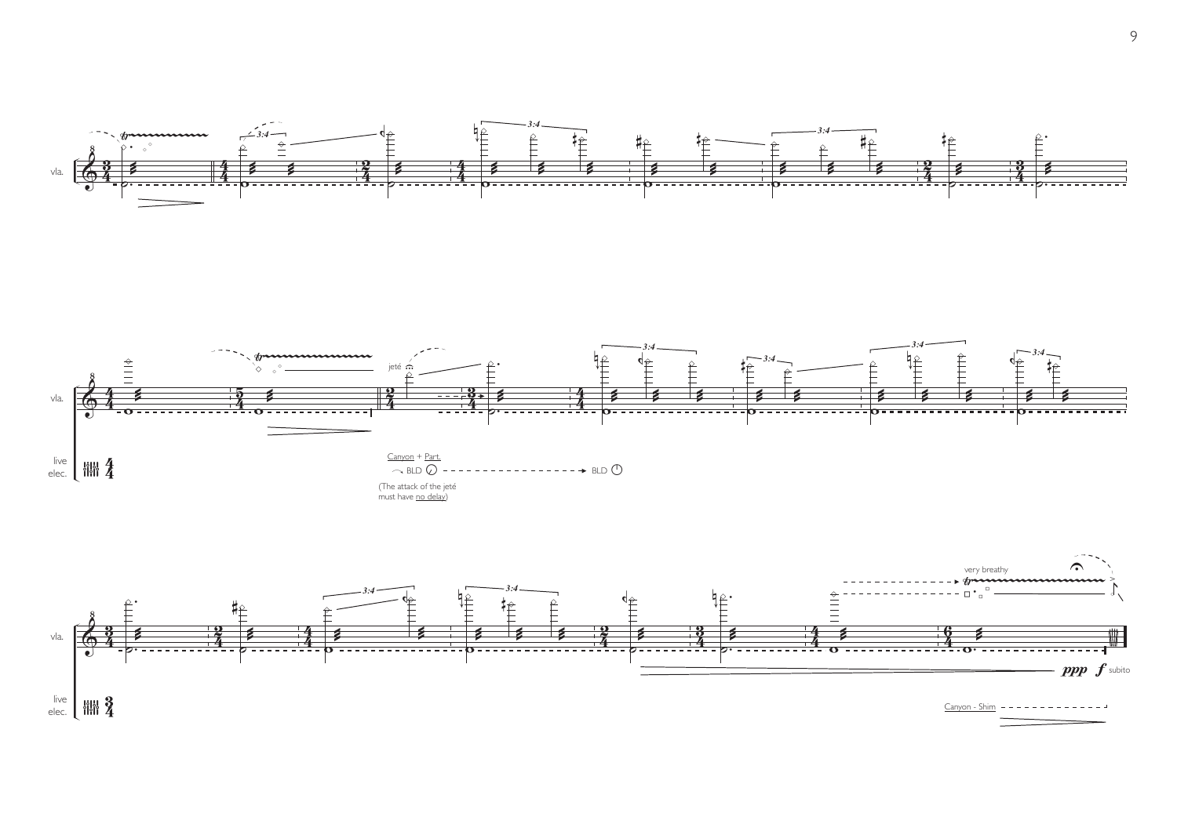

.

Ÿ~~~~~~~~~~~~~ . ·  $\frac{1}{\pm}$   $\frac{d\phi}{d\phi}$ ነ<br>የ · *3:4 3:4* · µ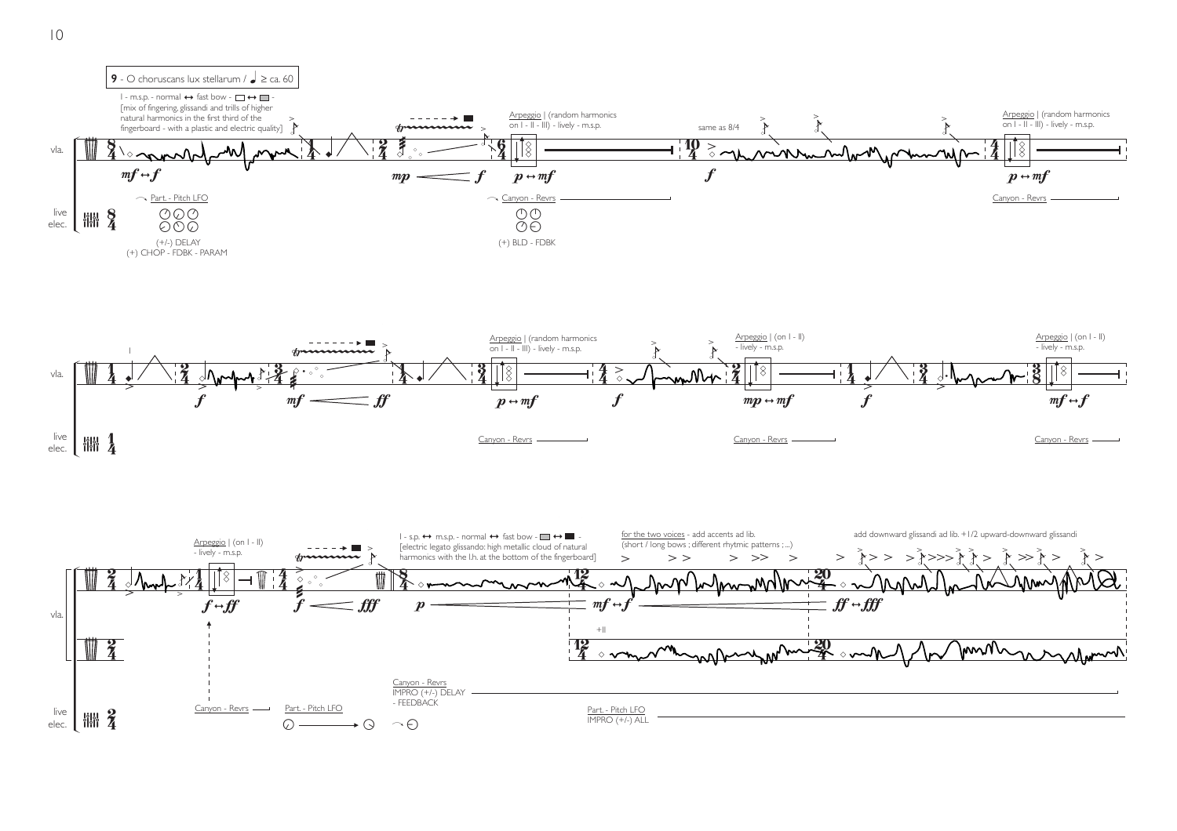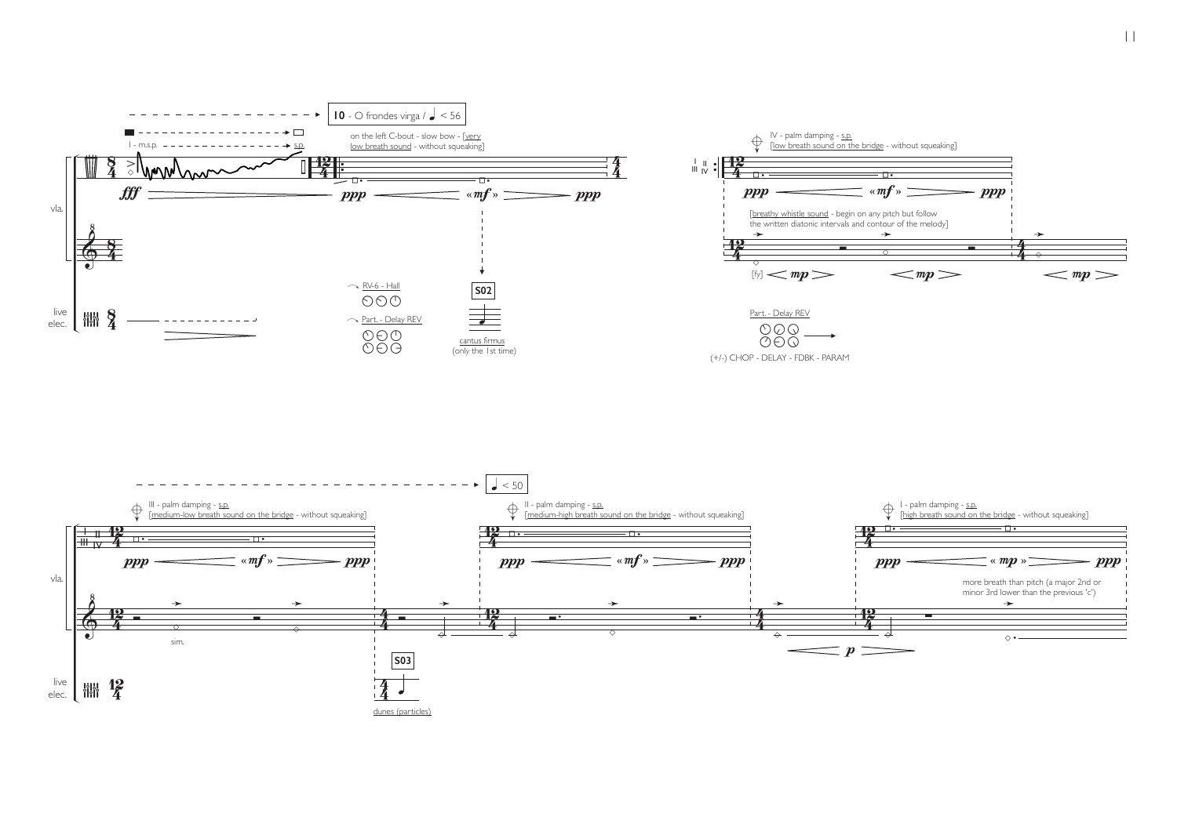

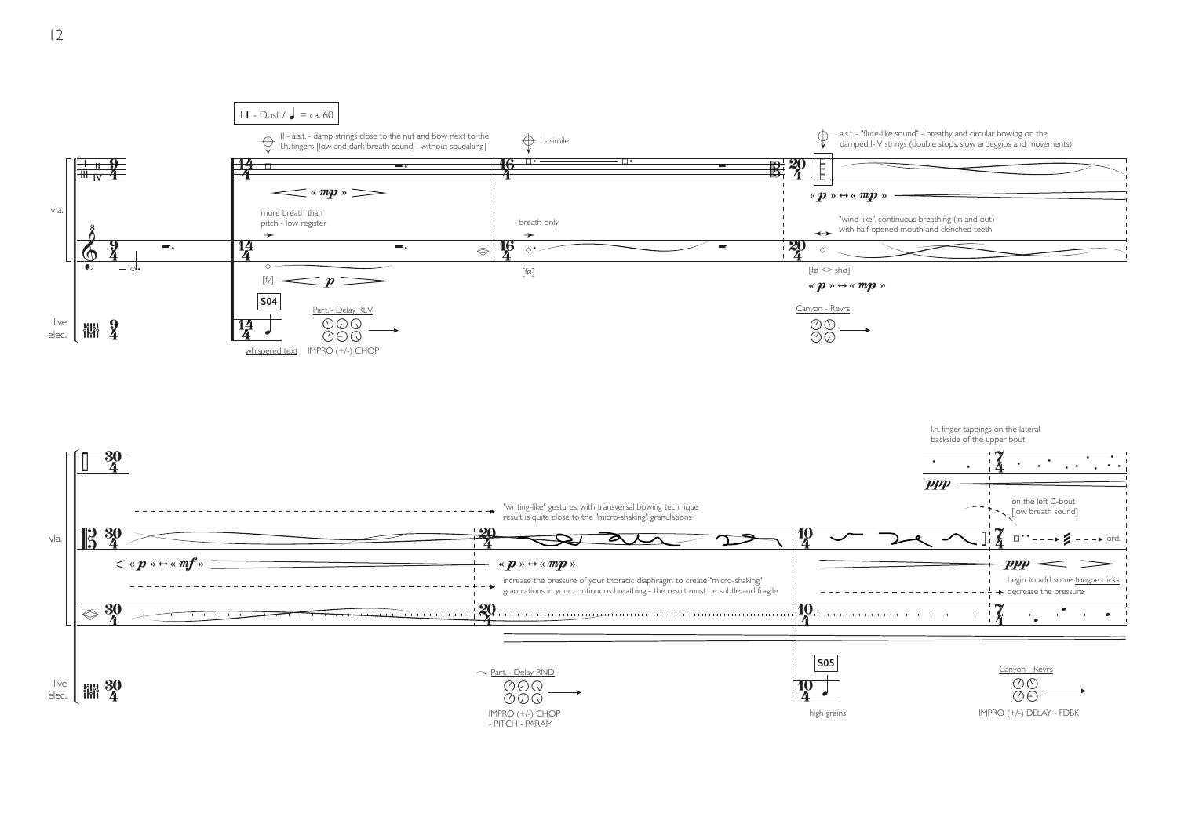